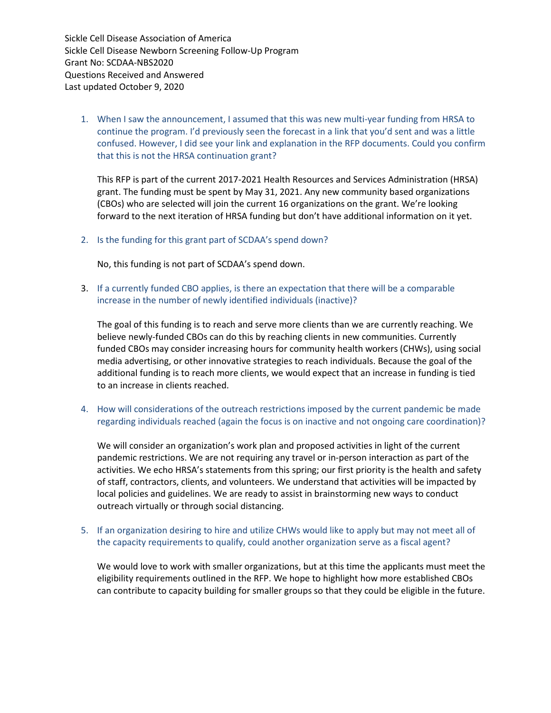1. When I saw the announcement, I assumed that this was new multi-year funding from HRSA to continue the program. I'd previously seen the forecast in a link that you'd sent and was a little confused. However, I did see your link and explanation in the RFP documents. Could you confirm that this is not the HRSA continuation grant?

This RFP is part of the current 2017-2021 Health Resources and Services Administration (HRSA) grant. The funding must be spent by May 31, 2021. Any new community based organizations (CBOs) who are selected will join the current 16 organizations on the grant. We're looking forward to the next iteration of HRSA funding but don't have additional information on it yet.

2. Is the funding for this grant part of SCDAA's spend down?

No, this funding is not part of SCDAA's spend down.

3. If a currently funded CBO applies, is there an expectation that there will be a comparable increase in the number of newly identified individuals (inactive)?

The goal of this funding is to reach and serve more clients than we are currently reaching. We believe newly-funded CBOs can do this by reaching clients in new communities. Currently funded CBOs may consider increasing hours for community health workers (CHWs), using social media advertising, or other innovative strategies to reach individuals. Because the goal of the additional funding is to reach more clients, we would expect that an increase in funding is tied to an increase in clients reached.

4. How will considerations of the outreach restrictions imposed by the current pandemic be made regarding individuals reached (again the focus is on inactive and not ongoing care coordination)?

We will consider an organization's work plan and proposed activities in light of the current pandemic restrictions. We are not requiring any travel or in-person interaction as part of the activities. We echo HRSA's statements from this spring; our first priority is the health and safety of staff, contractors, clients, and volunteers. We understand that activities will be impacted by local policies and guidelines. We are ready to assist in brainstorming new ways to conduct outreach virtually or through social distancing.

## 5. If an organization desiring to hire and utilize CHWs would like to apply but may not meet all of the capacity requirements to qualify, could another organization serve as a fiscal agent?

We would love to work with smaller organizations, but at this time the applicants must meet the eligibility requirements outlined in the RFP. We hope to highlight how more established CBOs can contribute to capacity building for smaller groups so that they could be eligible in the future.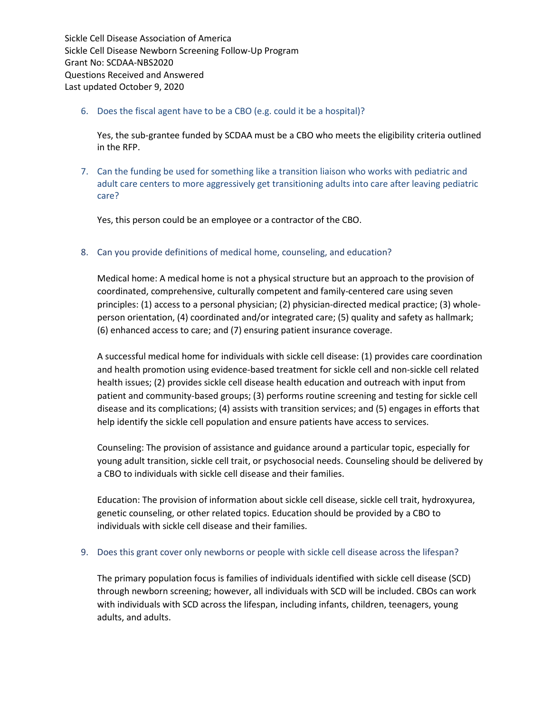## 6. Does the fiscal agent have to be a CBO (e.g. could it be a hospital)?

Yes, the sub-grantee funded by SCDAA must be a CBO who meets the eligibility criteria outlined in the RFP.

7. Can the funding be used for something like a transition liaison who works with pediatric and adult care centers to more aggressively get transitioning adults into care after leaving pediatric care?

Yes, this person could be an employee or a contractor of the CBO.

8. Can you provide definitions of medical home, counseling, and education?

Medical home: A medical home is not a physical structure but an approach to the provision of coordinated, comprehensive, culturally competent and family-centered care using seven principles: (1) access to a personal physician; (2) physician-directed medical practice; (3) wholeperson orientation, (4) coordinated and/or integrated care; (5) quality and safety as hallmark; (6) enhanced access to care; and (7) ensuring patient insurance coverage.

A successful medical home for individuals with sickle cell disease: (1) provides care coordination and health promotion using evidence-based treatment for sickle cell and non-sickle cell related health issues; (2) provides sickle cell disease health education and outreach with input from patient and community-based groups; (3) performs routine screening and testing for sickle cell disease and its complications; (4) assists with transition services; and (5) engages in efforts that help identify the sickle cell population and ensure patients have access to services.

Counseling: The provision of assistance and guidance around a particular topic, especially for young adult transition, sickle cell trait, or psychosocial needs. Counseling should be delivered by a CBO to individuals with sickle cell disease and their families.

Education: The provision of information about sickle cell disease, sickle cell trait, hydroxyurea, genetic counseling, or other related topics. Education should be provided by a CBO to individuals with sickle cell disease and their families.

## 9. Does this grant cover only newborns or people with sickle cell disease across the lifespan?

The primary population focus is families of individuals identified with sickle cell disease (SCD) through newborn screening; however, all individuals with SCD will be included. CBOs can work with individuals with SCD across the lifespan, including infants, children, teenagers, young adults, and adults.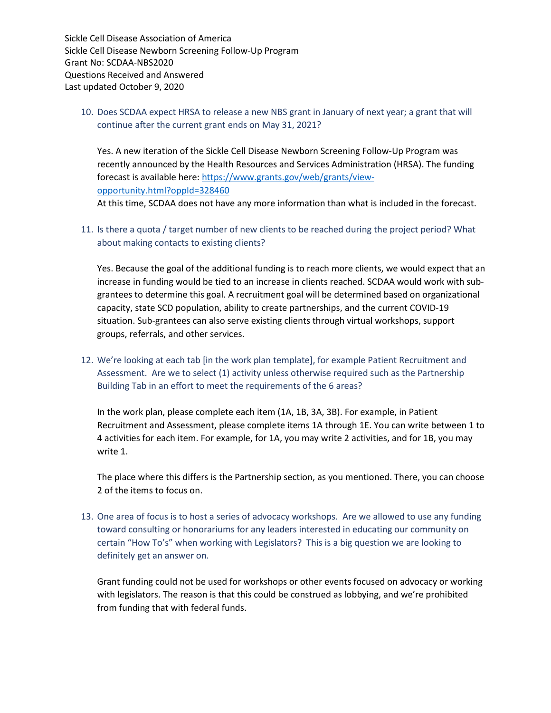10. Does SCDAA expect HRSA to release a new NBS grant in January of next year; a grant that will continue after the current grant ends on May 31, 2021?

Yes. A new iteration of the Sickle Cell Disease Newborn Screening Follow-Up Program was recently announced by the Health Resources and Services Administration (HRSA). The funding forecast is available here: [https://www.grants.gov/web/grants/view](https://www.grants.gov/web/grants/view-opportunity.html?oppId=328460)[opportunity.html?oppId=328460](https://www.grants.gov/web/grants/view-opportunity.html?oppId=328460) 

At this time, SCDAA does not have any more information than what is included in the forecast.

11. Is there a quota / target number of new clients to be reached during the project period? What about making contacts to existing clients?

Yes. Because the goal of the additional funding is to reach more clients, we would expect that an increase in funding would be tied to an increase in clients reached. SCDAA would work with subgrantees to determine this goal. A recruitment goal will be determined based on organizational capacity, state SCD population, ability to create partnerships, and the current COVID-19 situation. Sub-grantees can also serve existing clients through virtual workshops, support groups, referrals, and other services.

12. We're looking at each tab [in the work plan template], for example Patient Recruitment and Assessment. Are we to select (1) activity unless otherwise required such as the Partnership Building Tab in an effort to meet the requirements of the 6 areas?

In the work plan, please complete each item (1A, 1B, 3A, 3B). For example, in Patient Recruitment and Assessment, please complete items 1A through 1E. You can write between 1 to 4 activities for each item. For example, for 1A, you may write 2 activities, and for 1B, you may write 1.

The place where this differs is the Partnership section, as you mentioned. There, you can choose 2 of the items to focus on.

13. One area of focus is to host a series of advocacy workshops. Are we allowed to use any funding toward consulting or honorariums for any leaders interested in educating our community on certain "How To's" when working with Legislators? This is a big question we are looking to definitely get an answer on.

Grant funding could not be used for workshops or other events focused on advocacy or working with legislators. The reason is that this could be construed as lobbying, and we're prohibited from funding that with federal funds.